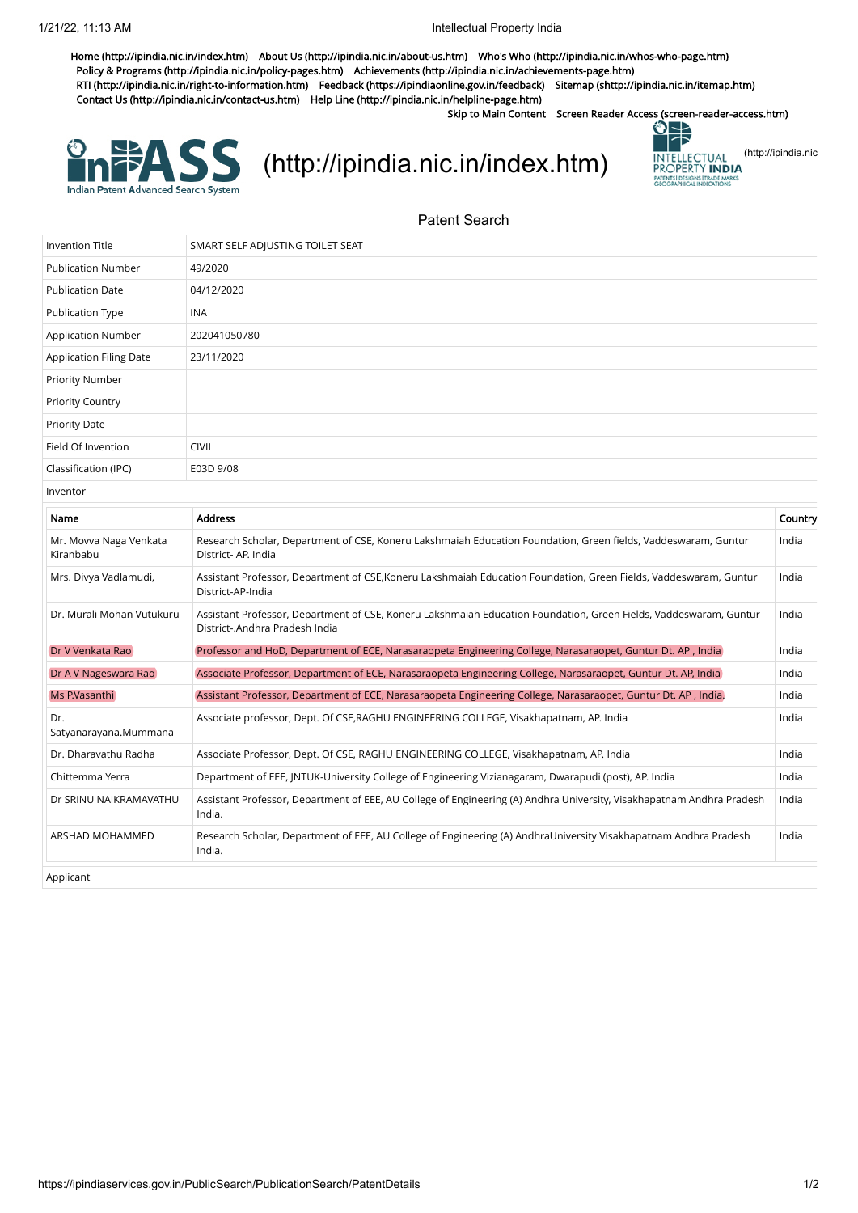[Home \(http://ipindia.nic.in/index.htm\)](http://ipindia.nic.in/index.htm) [About Us \(http://ipindia.nic.in/about-us.htm\)](http://ipindia.nic.in/about-us.htm) [Who's Who \(http://ipindia.nic.in/whos-who-page.htm\)](http://ipindia.nic.in/whos-who-page.htm) [Policy & Programs \(http://ipindia.nic.in/policy-pages.htm\)](http://ipindia.nic.in/policy-pages.htm) [Achievements \(http://ipindia.nic.in/achievements-page.htm\)](http://ipindia.nic.in/achievements-page.htm) [RTI \(http://ipindia.nic.in/right-to-information.htm\)](http://ipindia.nic.in/right-to-information.htm) [Feedback \(https://ipindiaonline.gov.in/feedback\)](https://ipindiaonline.gov.in/feedback) [Sitemap \(shttp://ipindia.nic.in/itemap.htm\)](shttp://ipindia.nic.in/itemap.htm) [Contact Us \(http://ipindia.nic.in/contact-us.htm\)](http://ipindia.nic.in/contact-us.htm) [Help Line \(http://ipindia.nic.in/helpline-page.htm\)](http://ipindia.nic.in/helpline-page.htm)

Skip to Main Content [Screen Reader Access \(screen-reader-access.htm\)](https://ipindiaservices.gov.in/PublicSearch/PublicationSearch/screen-reader-access.htm)



[\(http://ipindia.nic.in/index.htm\)](http://ipindia.nic.in/index.htm) **INTELLECTUAL [\(http://ipindia.nic](http://ipindia.nic.in/index.htm)** 



Patent Search

| Invention Title                     | SMART SELF ADJUSTING TOILET SEAT                                                                                                                    |         |
|-------------------------------------|-----------------------------------------------------------------------------------------------------------------------------------------------------|---------|
| <b>Publication Number</b>           | 49/2020                                                                                                                                             |         |
| <b>Publication Date</b>             | 04/12/2020                                                                                                                                          |         |
| <b>Publication Type</b>             | <b>INA</b>                                                                                                                                          |         |
| <b>Application Number</b>           | 202041050780                                                                                                                                        |         |
| <b>Application Filing Date</b>      | 23/11/2020                                                                                                                                          |         |
| Priority Number                     |                                                                                                                                                     |         |
| <b>Priority Country</b>             |                                                                                                                                                     |         |
| <b>Priority Date</b>                |                                                                                                                                                     |         |
| Field Of Invention                  | <b>CIVIL</b>                                                                                                                                        |         |
| Classification (IPC)                | E03D 9/08                                                                                                                                           |         |
| Inventor                            |                                                                                                                                                     |         |
| Name                                | <b>Address</b>                                                                                                                                      | Country |
| Mr. Movva Naga Venkata<br>Kiranbabu | Research Scholar, Department of CSE, Koneru Lakshmaiah Education Foundation, Green fields, Vaddeswaram, Guntur<br>District-AP. India                | India   |
| Mrs. Divya Vadlamudi,               | Assistant Professor, Department of CSE,Koneru Lakshmaiah Education Foundation, Green Fields, Vaddeswaram, Guntur<br>District-AP-India               | India   |
| Dr. Murali Mohan Vutukuru           | Assistant Professor, Department of CSE, Koneru Lakshmaiah Education Foundation, Green Fields, Vaddeswaram, Guntur<br>District-.Andhra Pradesh India | India   |
| Dr V Venkata Rao                    | Professor and HoD, Department of ECE, Narasaraopeta Engineering College, Narasaraopet, Guntur Dt. AP, India                                         | India   |
| Dr A V Nageswara Rao                | Associate Professor, Department of ECE, Narasaraopeta Engineering College, Narasaraopet, Guntur Dt. AP, India                                       | India   |
| Ms P.Vasanthi                       | Assistant Professor, Department of ECE, Narasaraopeta Engineering College, Narasaraopet, Guntur Dt. AP, India.                                      | India   |
| Dr.<br>Satyanarayana.Mummana        | Associate professor, Dept. Of CSE, RAGHU ENGINEERING COLLEGE, Visakhapatnam, AP. India                                                              | India   |
| Dr. Dharavathu Radha                | Associate Professor, Dept. Of CSE, RAGHU ENGINEERING COLLEGE, Visakhapatnam, AP. India                                                              | India   |
| Chittemma Yerra                     | Department of EEE, JNTUK-University College of Engineering Vizianagaram, Dwarapudi (post), AP. India                                                | India   |
| Dr SRINU NAIKRAMAVATHU              | Assistant Professor, Department of EEE, AU College of Engineering (A) Andhra University, Visakhapatnam Andhra Pradesh<br>India.                     | India   |
| ARSHAD MOHAMMED                     | Research Scholar, Department of EEE, AU College of Engineering (A) AndhraUniversity Visakhapatnam Andhra Pradesh<br>India.                          | India   |
| Applicant                           |                                                                                                                                                     |         |